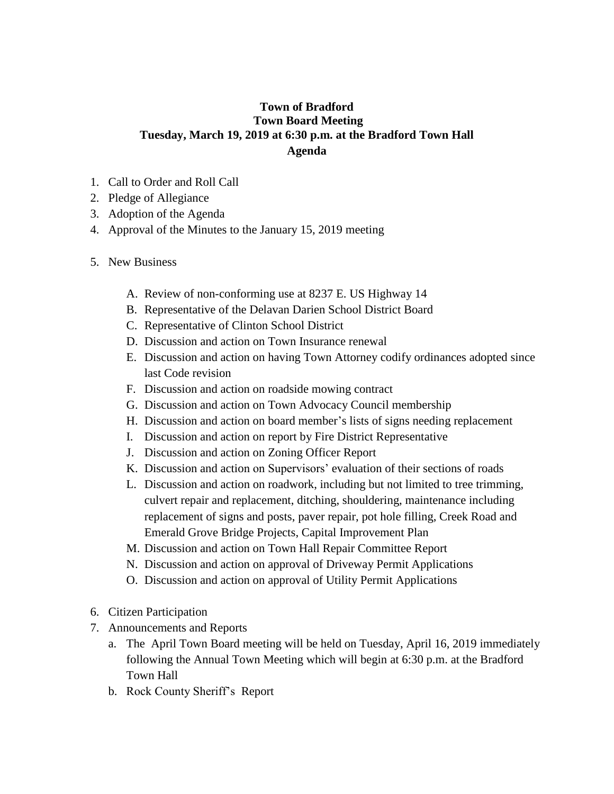## **Town of Bradford Town Board Meeting Tuesday, March 19, 2019 at 6:30 p.m. at the Bradford Town Hall Agenda**

- 1. Call to Order and Roll Call
- 2. Pledge of Allegiance
- 3. Adoption of the Agenda
- 4. Approval of the Minutes to the January 15, 2019 meeting
- 5. New Business
	- A. Review of non-conforming use at 8237 E. US Highway 14
	- B. Representative of the Delavan Darien School District Board
	- C. Representative of Clinton School District
	- D. Discussion and action on Town Insurance renewal
	- E. Discussion and action on having Town Attorney codify ordinances adopted since last Code revision
	- F. Discussion and action on roadside mowing contract
	- G. Discussion and action on Town Advocacy Council membership
	- H. Discussion and action on board member's lists of signs needing replacement
	- I. Discussion and action on report by Fire District Representative
	- J. Discussion and action on Zoning Officer Report
	- K. Discussion and action on Supervisors' evaluation of their sections of roads
	- L. Discussion and action on roadwork, including but not limited to tree trimming, culvert repair and replacement, ditching, shouldering, maintenance including replacement of signs and posts, paver repair, pot hole filling, Creek Road and Emerald Grove Bridge Projects, Capital Improvement Plan
	- M. Discussion and action on Town Hall Repair Committee Report
	- N. Discussion and action on approval of Driveway Permit Applications
	- O. Discussion and action on approval of Utility Permit Applications
- 6. Citizen Participation
- 7. Announcements and Reports
	- a. The April Town Board meeting will be held on Tuesday, April 16, 2019 immediately following the Annual Town Meeting which will begin at 6:30 p.m. at the Bradford Town Hall
	- b. Rock County Sheriff's Report